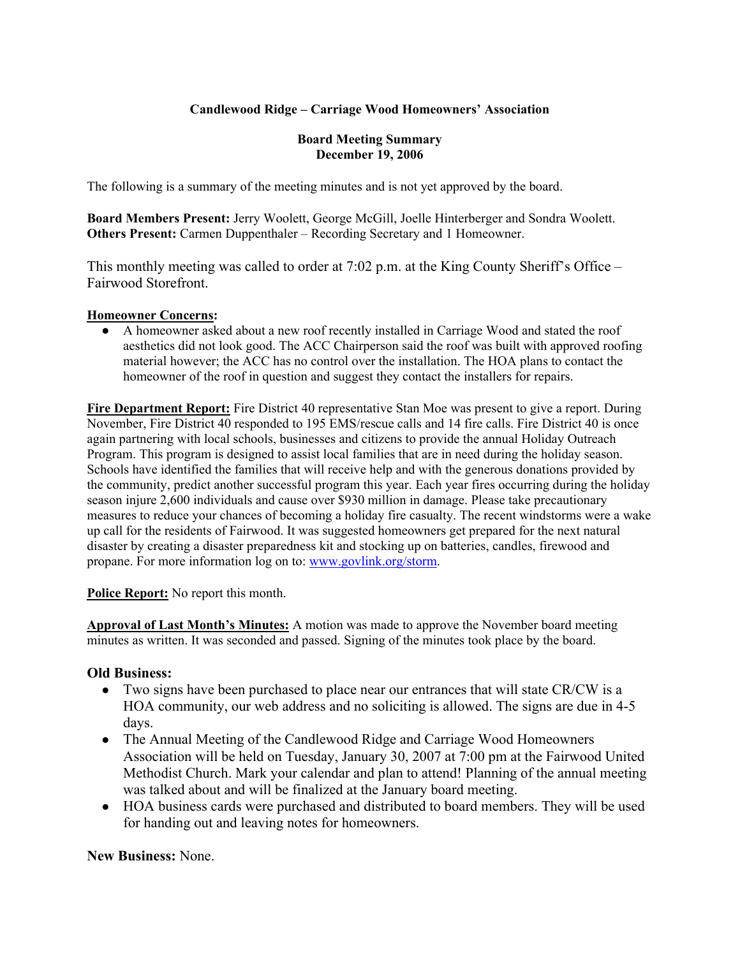# **Candlewood Ridge – Carriage Wood Homeowners' Association**

#### **Board Meeting Summary December 19, 2006**

The following is a summary of the meeting minutes and is not yet approved by the board.

**Board Members Present:** Jerry Woolett, George McGill, Joelle Hinterberger and Sondra Woolett. **Others Present:** Carmen Duppenthaler – Recording Secretary and 1 Homeowner.

This monthly meeting was called to order at 7:02 p.m. at the King County Sheriff's Office – Fairwood Storefront.

## **Homeowner Concerns:**

A homeowner asked about a new roof recently installed in Carriage Wood and stated the roof aesthetics did not look good. The ACC Chairperson said the roof was built with approved roofing material however; the ACC has no control over the installation. The HOA plans to contact the homeowner of the roof in question and suggest they contact the installers for repairs.

**Fire Department Report:** Fire District 40 representative Stan Moe was present to give a report. During November, Fire District 40 responded to 195 EMS/rescue calls and 14 fire calls. Fire District 40 is once again partnering with local schools, businesses and citizens to provide the annual Holiday Outreach Program. This program is designed to assist local families that are in need during the holiday season. Schools have identified the families that will receive help and with the generous donations provided by the community, predict another successful program this year. Each year fires occurring during the holiday season injure 2,600 individuals and cause over \$930 million in damage. Please take precautionary measures to reduce your chances of becoming a holiday fire casualty. The recent windstorms were a wake up call for the residents of Fairwood. It was suggested homeowners get prepared for the next natural disaster by creating a disaster preparedness kit and stocking up on batteries, candles, firewood and propane. For more information log on to: www.govlink.org/storm.

## **Police Report:** No report this month.

**Approval of Last Month's Minutes:** A motion was made to approve the November board meeting minutes as written. It was seconded and passed. Signing of the minutes took place by the board.

## **Old Business:**

- Two signs have been purchased to place near our entrances that will state CR/CW is a HOA community, our web address and no soliciting is allowed. The signs are due in 4-5 days.
- The Annual Meeting of the Candlewood Ridge and Carriage Wood Homeowners Association will be held on Tuesday, January 30, 2007 at 7:00 pm at the Fairwood United Methodist Church. Mark your calendar and plan to attend! Planning of the annual meeting was talked about and will be finalized at the January board meeting.
- HOA business cards were purchased and distributed to board members. They will be used for handing out and leaving notes for homeowners.

**New Business:** None.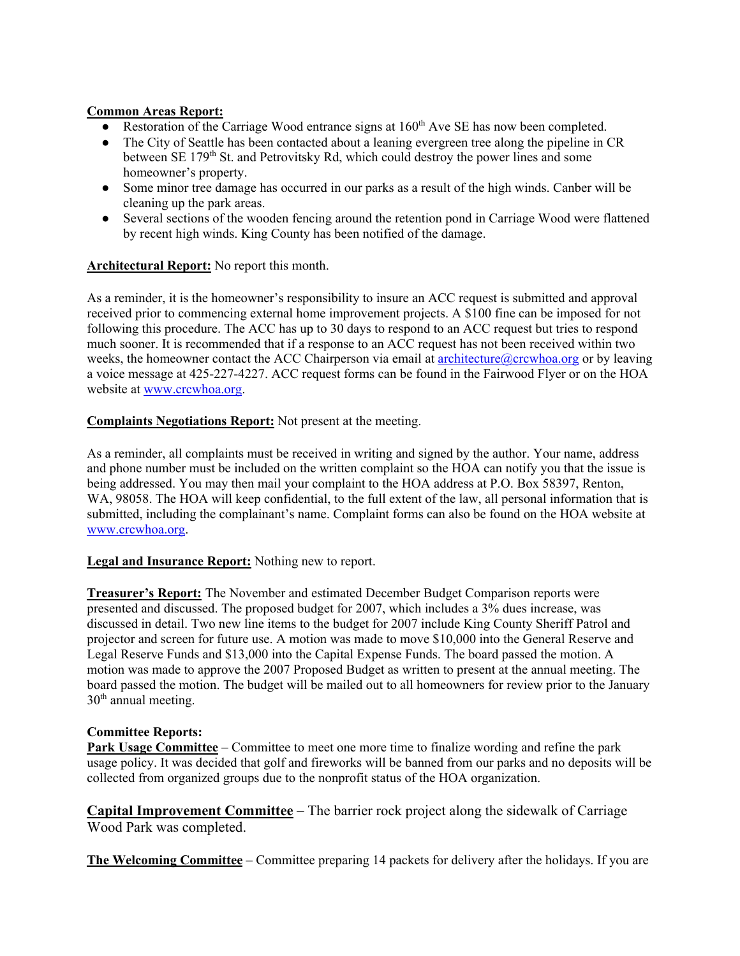## **Common Areas Report:**

- $\bullet$  Restoration of the Carriage Wood entrance signs at 160<sup>th</sup> Ave SE has now been completed.
- The City of Seattle has been contacted about a leaning evergreen tree along the pipeline in CR between  $SE\ 179<sup>th</sup>$  St. and Petrovitsky Rd, which could destroy the power lines and some homeowner's property.
- Some minor tree damage has occurred in our parks as a result of the high winds. Canber will be cleaning up the park areas.
- Several sections of the wooden fencing around the retention pond in Carriage Wood were flattened by recent high winds. King County has been notified of the damage.

## **Architectural Report:** No report this month.

As a reminder, it is the homeowner's responsibility to insure an ACC request is submitted and approval received prior to commencing external home improvement projects. A \$100 fine can be imposed for not following this procedure. The ACC has up to 30 days to respond to an ACC request but tries to respond much sooner. It is recommended that if a response to an ACC request has not been received within two weeks, the homeowner contact the ACC Chairperson via email at architecture@crcwhoa.org or by leaving a voice message at 425-227-4227. ACC request forms can be found in the Fairwood Flyer or on the HOA website at www.crcwhoa.org.

## **Complaints Negotiations Report:** Not present at the meeting.

As a reminder, all complaints must be received in writing and signed by the author. Your name, address and phone number must be included on the written complaint so the HOA can notify you that the issue is being addressed. You may then mail your complaint to the HOA address at P.O. Box 58397, Renton, WA, 98058. The HOA will keep confidential, to the full extent of the law, all personal information that is submitted, including the complainant's name. Complaint forms can also be found on the HOA website at www.crcwhoa.org.

## **Legal and Insurance Report:** Nothing new to report.

**Treasurer's Report:** The November and estimated December Budget Comparison reports were presented and discussed. The proposed budget for 2007, which includes a 3% dues increase, was discussed in detail. Two new line items to the budget for 2007 include King County Sheriff Patrol and projector and screen for future use. A motion was made to move \$10,000 into the General Reserve and Legal Reserve Funds and \$13,000 into the Capital Expense Funds. The board passed the motion. A motion was made to approve the 2007 Proposed Budget as written to present at the annual meeting. The board passed the motion. The budget will be mailed out to all homeowners for review prior to the January  $30<sup>th</sup>$  annual meeting.

#### **Committee Reports:**

**Park Usage Committee** – Committee to meet one more time to finalize wording and refine the park usage policy. It was decided that golf and fireworks will be banned from our parks and no deposits will be collected from organized groups due to the nonprofit status of the HOA organization.

**Capital Improvement Committee** – The barrier rock project along the sidewalk of Carriage Wood Park was completed.

**The Welcoming Committee** – Committee preparing 14 packets for delivery after the holidays. If you are